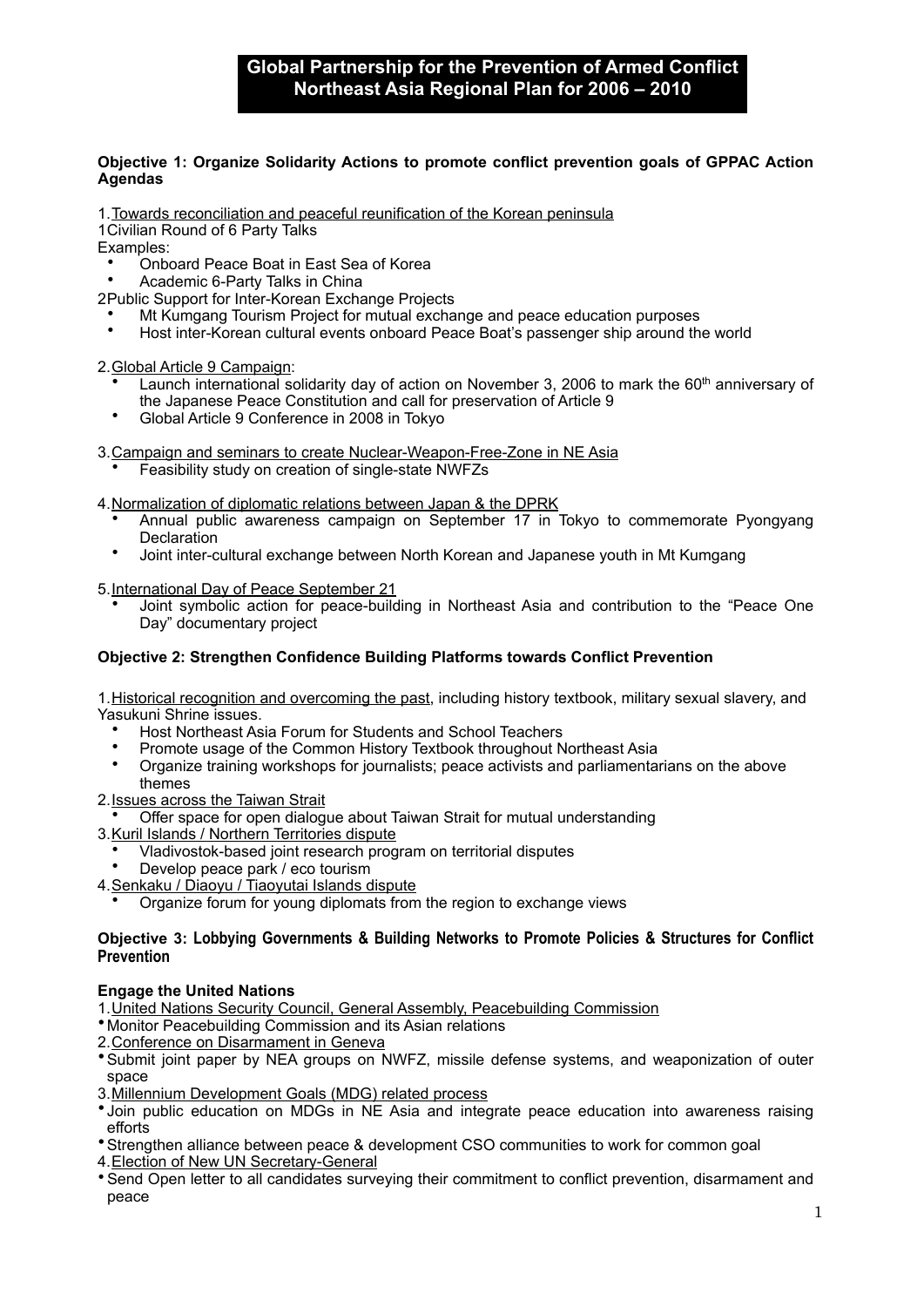# **Objective 1: Organize Solidarity Actions to promote conflict prevention goals of GPPAC Action Agendas**

1.Towards reconciliation and peaceful reunification of the Korean peninsula

1Civilian Round of 6 Party Talks

Examples:

- Onboard Peace Boat in East Sea of Korea
- Academic 6-Party Talks in China

2Public Support for Inter-Korean Exchange Projects

- Mt Kumgang Tourism Project for mutual exchange and peace education purposes
- Host inter-Korean cultural events onboard Peace Boat's passenger ship around the world

2.Global Article 9 Campaign:

- Launch international solidarity day of action on November 3, 2006 to mark the 60<sup>th</sup> anniversary of the Japanese Peace Constitution and call for preservation of Article 9
- Global Article 9 Conference in 2008 in Tokyo
- 3.Campaign and seminars to create Nuclear-Weapon-Free-Zone in NE Asia
	- Feasibility study on creation of single-state NWFZs

4.Normalization of diplomatic relations between Japan & the DPRK

- Annual public awareness campaign on September 17 in Tokyo to commemorate Pyongyang **Declaration**
- Joint inter-cultural exchange between North Korean and Japanese youth in Mt Kumgang

5.International Day of Peace September 21

• Joint symbolic action for peace-building in Northeast Asia and contribution to the "Peace One Day" documentary project

### **Objective 2: Strengthen Confidence Building Platforms towards Conflict Prevention**

1.Historical recognition and overcoming the past, including history textbook, military sexual slavery, and Yasukuni Shrine issues.

- Host Northeast Asia Forum for Students and School Teachers
- Promote usage of the Common History Textbook throughout Northeast Asia
- Organize training workshops for journalists; peace activists and parliamentarians on the above themes
- 2.Issues across the Taiwan Strait

• Offer space for open dialogue about Taiwan Strait for mutual understanding

- 3.Kuril Islands / Northern Territories dispute
	- Vladivostok-based joint research program on territorial disputes
	- Develop peace park / eco tourism
- 4.Senkaku / Diaoyu / Tiaoyutai Islands dispute
	- Organize forum for young diplomats from the region to exchange views

#### **Objective 3: Lobbying Governments & Building Networks to Promote Policies & Structures for Conflict Prevention**

### **Engage the United Nations**

1.United Nations Security Council, General Assembly, Peacebuilding Commission

- •Monitor Peacebuilding Commission and its Asian relations
- 2.Conference on Disarmament in Geneva
- •Submit joint paper by NEA groups on NWFZ, missile defense systems, and weaponization of outer space
- 3.Millennium Development Goals (MDG) related process
- •Join public education on MDGs in NE Asia and integrate peace education into awareness raising efforts
- •Strengthen alliance between peace & development CSO communities to work for common goal
- 4.Election of New UN Secretary-General
- •Send Open letter to all candidates surveying their commitment to conflict prevention, disarmament and peace